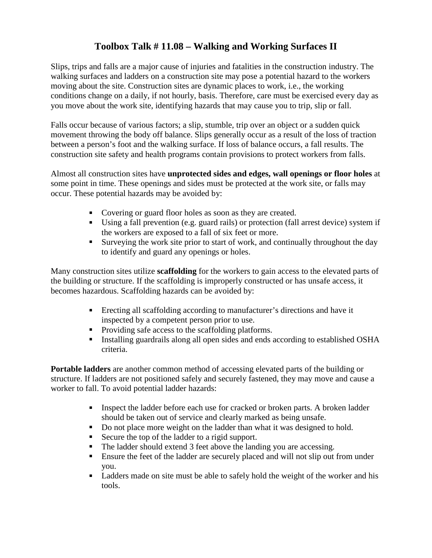## **Toolbox Talk # 11.08 – Walking and Working Surfaces II**

Slips, trips and falls are a major cause of injuries and fatalities in the construction industry. The walking surfaces and ladders on a construction site may pose a potential hazard to the workers moving about the site. Construction sites are dynamic places to work, i.e., the working conditions change on a daily, if not hourly, basis. Therefore, care must be exercised every day as you move about the work site, identifying hazards that may cause you to trip, slip or fall.

Falls occur because of various factors; a slip, stumble, trip over an object or a sudden quick movement throwing the body off balance. Slips generally occur as a result of the loss of traction between a person's foot and the walking surface. If loss of balance occurs, a fall results. The construction site safety and health programs contain provisions to protect workers from falls.

Almost all construction sites have **unprotected sides and edges, wall openings or floor holes** at some point in time. These openings and sides must be protected at the work site, or falls may occur. These potential hazards may be avoided by:

- Covering or guard floor holes as soon as they are created.
- Using a fall prevention (e.g. guard rails) or protection (fall arrest device) system if the workers are exposed to a fall of six feet or more.
- Surveying the work site prior to start of work, and continually throughout the day to identify and guard any openings or holes.

Many construction sites utilize **scaffolding** for the workers to gain access to the elevated parts of the building or structure. If the scaffolding is improperly constructed or has unsafe access, it becomes hazardous. Scaffolding hazards can be avoided by:

- Erecting all scaffolding according to manufacturer's directions and have it inspected by a competent person prior to use.
- Providing safe access to the scaffolding platforms.
- Installing guardrails along all open sides and ends according to established OSHA criteria.

**Portable ladders** are another common method of accessing elevated parts of the building or structure. If ladders are not positioned safely and securely fastened, they may move and cause a worker to fall. To avoid potential ladder hazards:

- Inspect the ladder before each use for cracked or broken parts. A broken ladder should be taken out of service and clearly marked as being unsafe.
- Do not place more weight on the ladder than what it was designed to hold.
- Secure the top of the ladder to a rigid support.
- The ladder should extend 3 feet above the landing you are accessing.
- Ensure the feet of the ladder are securely placed and will not slip out from under you.
- Ladders made on site must be able to safely hold the weight of the worker and his tools.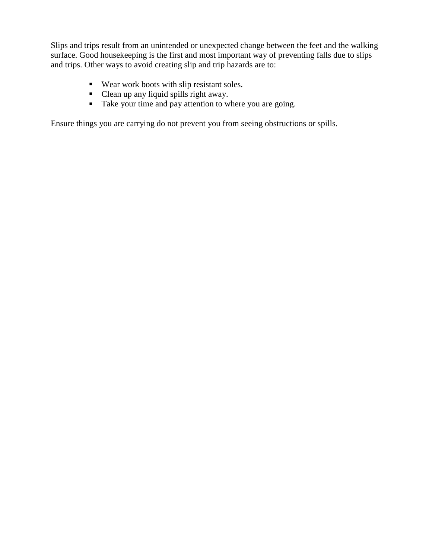Slips and trips result from an unintended or unexpected change between the feet and the walking surface. Good housekeeping is the first and most important way of preventing falls due to slips and trips. Other ways to avoid creating slip and trip hazards are to:

- Wear work boots with slip resistant soles.
- Clean up any liquid spills right away.
- Take your time and pay attention to where you are going.

Ensure things you are carrying do not prevent you from seeing obstructions or spills.